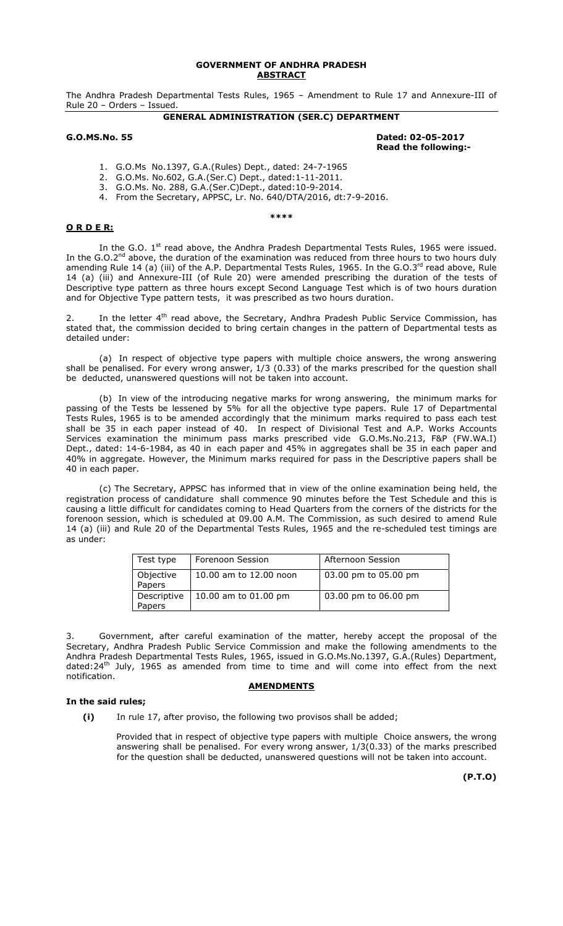## **GOVERNMENT OF ANDHRA PRADESH ABSTRACT**

The Andhra Pradesh Departmental Tests Rules, 1965 – Amendment to Rule 17 and Annexure-III of Rule 20 – Orders – Issued.

# **GENERAL ADMINISTRATION (SER.C) DEPARTMENT**

## **G.O.MS.No. 55 Dated: 02-05-2017 Read the following:-**

- 1. G.O.Ms No.1397, G.A.(Rules) Dept., dated: 24-7-1965
- 2. G.O.Ms. No.602, G.A.(Ser.C) Dept., dated:1-11-2011.
- 3. G.O.Ms. No. 288, G.A.(Ser.C)Dept., dated:10-9-2014.
- 4. From the Secretary, APPSC, Lr. No. 640/DTA/2016, dt:7-9-2016.

### **\*\*\*\***

# **O R D E R:**

In the G.O.  $1<sup>st</sup>$  read above, the Andhra Pradesh Departmental Tests Rules, 1965 were issued. In the G.O.2<sup>nd</sup> above, the duration of the examination was reduced from three hours to two hours duly amending Rule 14 (a) (iii) of the A.P. Departmental Tests Rules, 1965. In the G.O.3rd read above, Rule 14 (a) (iii) and Annexure-III (of Rule 20) were amended prescribing the duration of the tests of Descriptive type pattern as three hours except Second Language Test which is of two hours duration and for Objective Type pattern tests, it was prescribed as two hours duration.

In the letter 4<sup>th</sup> read above, the Secretary, Andhra Pradesh Public Service Commission, has stated that, the commission decided to bring certain changes in the pattern of Departmental tests as detailed under:

(a) In respect of objective type papers with multiple choice answers, the wrong answering shall be penalised. For every wrong answer, 1/3 (0.33) of the marks prescribed for the question shall be deducted, unanswered questions will not be taken into account.

(b) In view of the introducing negative marks for wrong answering, the minimum marks for passing of the Tests be lessened by 5% for all the objective type papers. Rule 17 of Departmental Tests Rules, 1965 is to be amended accordingly that the minimum marks required to pass each test shall be 35 in each paper instead of 40. In respect of Divisional Test and A.P. Works Accounts Services examination the minimum pass marks prescribed vide G.O.Ms.No.213, F&P (FW.WA.I) Dept., dated: 14-6-1984, as 40 in each paper and 45% in aggregates shall be 35 in each paper and 40% in aggregate. However, the Minimum marks required for pass in the Descriptive papers shall be 40 in each paper.

(c) The Secretary, APPSC has informed that in view of the online examination being held, the registration process of candidature shall commence 90 minutes before the Test Schedule and this is causing a little difficult for candidates coming to Head Quarters from the corners of the districts for the forenoon session, which is scheduled at 09.00 A.M. The Commission, as such desired to amend Rule 14 (a) (iii) and Rule 20 of the Departmental Tests Rules, 1965 and the re-scheduled test timings are as under:

| Test type             | Forenoon Session       | Afternoon Session    |
|-----------------------|------------------------|----------------------|
| Objective<br>Papers   | 10.00 am to 12.00 noon | 03.00 pm to 05.00 pm |
| Descriptive<br>Papers | 10.00 am to 01.00 pm   | 03.00 pm to 06.00 pm |

3. Government, after careful examination of the matter, hereby accept the proposal of the Secretary, Andhra Pradesh Public Service Commission and make the following amendments to the Andhra Pradesh Departmental Tests Rules, 1965, issued in G.O.Ms.No.1397, G.A.(Rules) Department, dated:24<sup>th</sup> July, 1965 as amended from time to time and will come into effect from the next notification.

## **AMENDMENTS**

# **In the said rules;**

**(i)** In rule 17, after proviso, the following two provisos shall be added;

Provided that in respect of objective type papers with multiple Choice answers, the wrong answering shall be penalised. For every wrong answer, 1/3(0.33) of the marks prescribed for the question shall be deducted, unanswered questions will not be taken into account.

 **(P.T.O)**